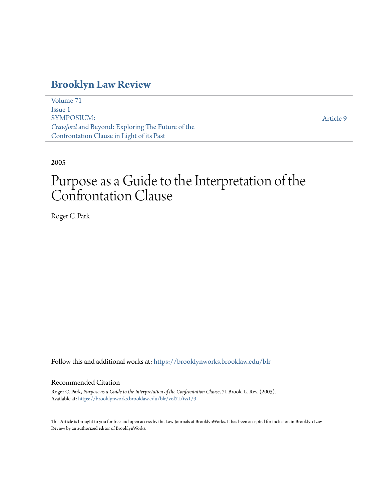### **[Brooklyn Law Review](https://brooklynworks.brooklaw.edu/blr?utm_source=brooklynworks.brooklaw.edu%2Fblr%2Fvol71%2Fiss1%2F9&utm_medium=PDF&utm_campaign=PDFCoverPages)**

[Volume 71](https://brooklynworks.brooklaw.edu/blr/vol71?utm_source=brooklynworks.brooklaw.edu%2Fblr%2Fvol71%2Fiss1%2F9&utm_medium=PDF&utm_campaign=PDFCoverPages) [Issue 1](https://brooklynworks.brooklaw.edu/blr/vol71/iss1?utm_source=brooklynworks.brooklaw.edu%2Fblr%2Fvol71%2Fiss1%2F9&utm_medium=PDF&utm_campaign=PDFCoverPages) SYMPOSIUM: *Crawford* and Beyond: Exploring The Future of the Confrontation Clause in Light of its Past

[Article 9](https://brooklynworks.brooklaw.edu/blr/vol71/iss1/9?utm_source=brooklynworks.brooklaw.edu%2Fblr%2Fvol71%2Fiss1%2F9&utm_medium=PDF&utm_campaign=PDFCoverPages)

2005

# Purpose as a Guide to the Interpretation of the Confrontation Clause

Roger C. Park

Follow this and additional works at: [https://brooklynworks.brooklaw.edu/blr](https://brooklynworks.brooklaw.edu/blr?utm_source=brooklynworks.brooklaw.edu%2Fblr%2Fvol71%2Fiss1%2F9&utm_medium=PDF&utm_campaign=PDFCoverPages)

#### Recommended Citation

Roger C. Park, *Purpose as a Guide to the Interpretation of the Confrontation Clause*, 71 Brook. L. Rev. (2005). Available at: [https://brooklynworks.brooklaw.edu/blr/vol71/iss1/9](https://brooklynworks.brooklaw.edu/blr/vol71/iss1/9?utm_source=brooklynworks.brooklaw.edu%2Fblr%2Fvol71%2Fiss1%2F9&utm_medium=PDF&utm_campaign=PDFCoverPages)

This Article is brought to you for free and open access by the Law Journals at BrooklynWorks. It has been accepted for inclusion in Brooklyn Law Review by an authorized editor of BrooklynWorks.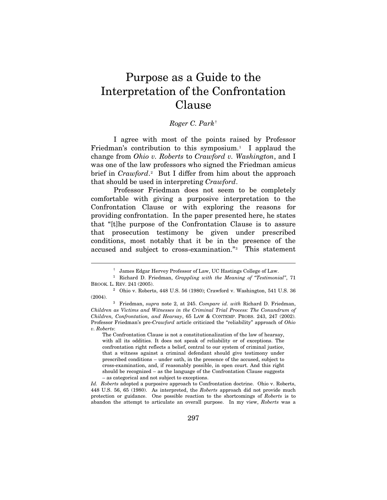## Purpose as a Guide to the Interpretation of the Confrontation Clause

#### *Roger C. Park*[†](#page-1-0)

I agree with most of the points raised by Professor Friedman's contribution to this symposium.<sup>1</sup> I applaud the change from *Ohio v. Roberts* to *Crawford v. Washington*, and I was one of the law professors who signed the Friedman amicus brief in *Crawford*.<sup>2</sup> But I differ from him about the approach that should be used in interpreting *Crawford*.

Professor Friedman does not seem to be completely comfortable with giving a purposive interpretation to the Confrontation Clause or with exploring the reasons for providing confrontation. In the paper presented here, he states that "[t]he purpose of the Confrontation Clause is to assure that prosecution testimony be given under prescribed conditions, most notably that it be in the presence of the accused and subject to cross-examination."[3](#page-1-3) This statement

<span id="page-1-1"></span><span id="page-1-0"></span> <sup>†</sup> James Edgar Hervey Professor of Law, UC Hastings College of Law. 1 Richard D. Friedman, *Grappling with the Meaning of "Testimonial"*, 71

<span id="page-1-2"></span> $^2$ Ohio v. Roberts, 448 U.S. 56 (1980); Crawford v. Washington, 541 U.S. 36 (2004).

<span id="page-1-3"></span><sup>(2004). 3</sup> Friedman, *supra* note 2, at 245. *Compare id. with* Richard D. Friedman, *Children as Victims and Witnesses in the Criminal Trial Process: The Conundrum of Children, Confrontation, and Hearsay*, 65 LAW & CONTEMP. PROBS. 243, 247 (2002). Professor Friedman's pre-*Crawford* article criticized the "reliability" approach of *Ohio v. Roberts*:

The Confrontation Clause is not a constitutionalization of the law of hearsay, with all its oddities. It does not speak of reliability or of exceptions. The confrontation right reflects a belief, central to our system of criminal justice, that a witness against a criminal defendant should give testimony under prescribed conditions – under oath, in the presence of the accused, subject to cross-examination, and, if reasonably possible, in open court. And this right should be recognized – as the language of the Confrontation Clause suggests – as categorical and not subject to exceptions.

*Id. Roberts* adopted a purposive approach to Confrontation doctrine. Ohio v. Roberts, 448 U.S. 56, 65 (1980). As interpreted, the *Roberts* approach did not provide much protection or guidance. One possible reaction to the shortcomings of *Roberts* is to abandon the attempt to articulate an overall purpose. In my view, *Roberts* was a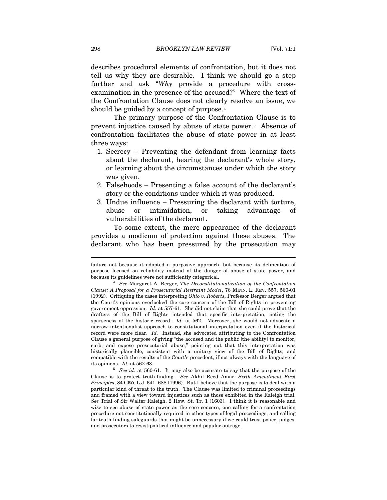describes procedural elements of confrontation, but it does not tell us why they are desirable. I think we should go a step further and ask "*Why* provide a procedure with crossexamination in the presence of the accused?" Where the text of the Confrontation Clause does not clearly resolve an issue, we should be guided by a concept of purpose.<sup>[4](#page-2-0)</sup>

The primary purpose of the Confrontation Clause is to prevent injustice caused by abuse of state power.[5](#page-2-1) Absence of confrontation facilitates the abuse of state power in at least three ways:

- 1. Secrecy Preventing the defendant from learning facts about the declarant, hearing the declarant's whole story, or learning about the circumstances under which the story was given.
- 2. Falsehoods Presenting a false account of the declarant's story or the conditions under which it was produced.
- 3. Undue influence Pressuring the declarant with torture, abuse or intimidation, or taking advantage of vulnerabilities of the declarant.

To some extent, the mere appearance of the declarant provides a modicum of protection against these abuses. The declarant who has been pressured by the prosecution may

failure not because it adopted a purposive approach, but because its delineation of purpose focused on reliability instead of the danger of abuse of state power, and

<span id="page-2-0"></span><sup>&</sup>lt;sup>4</sup> See Margaret A. Berger, *The Deconstitutionalization of the Confrontation Clause: A Proposal for a Prosecutorial Restraint Model*, 76 MINN. L. REV. 557, 560-01 (1992). Critiquing the cases interpreting *Ohio v. Roberts*, Professor Berger argued that the Court's opinions overlooked the core concern of the Bill of Rights in preventing government oppression. *Id.* at 557-61. She did not claim that she could prove that the drafters of the Bill of Rights intended that specific interpretation, noting the sparseness of the historic record. *Id.* at 562. Moreover, she would not advocate a narrow intentionalist approach to constitutional interpretation even if the historical record were more clear. *Id.* Instead, she advocated attributing to the Confrontation Clause a general purpose of giving "the accused and the public [the ability] to monitor, curb, and expose prosecutorial abuse," pointing out that this interpretation was historically plausible, consistent with a unitary view of the Bill of Rights, and compatible with the results of the Court's precedent, if not always with the language of its opinions.  $Id$ . at 562-63.

<span id="page-2-1"></span><sup>&</sup>lt;sup>5</sup> See id. at 560-61. It may also be accurate to say that the purpose of the Clause is to protect truth-finding. *See* Akhil Reed Amar, *Sixth Amendment First Principles*, 84 GEO. L.J. 641, 688 (1996). But I believe that the purpose is to deal with a particular kind of threat to the truth. The Clause was limited to criminal proceedings and framed with a view toward injustices such as those exhibited in the Raleigh trial. *See* Trial of Sir Walter Raleigh, 2 How. St. Tr. 1 (1603). I think it is reasonable and wise to see abuse of state power as the core concern, one calling for a confrontation procedure not constitutionally required in other types of legal proceedings, and calling for truth-finding safeguards that might be unnecessary if we could trust police, judges, and prosecutors to resist political influence and popular outrage.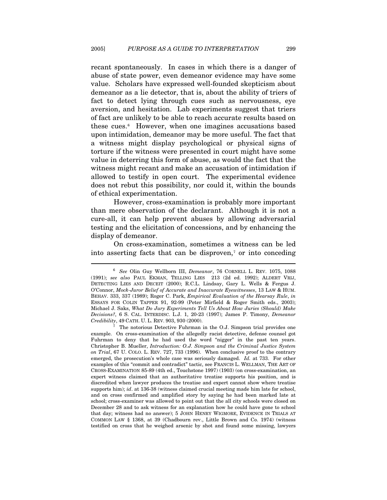recant spontaneously. In cases in which there is a danger of abuse of state power, even demeanor evidence may have some value. Scholars have expressed well-founded skepticism about demeanor as a lie detector, that is, about the ability of triers of fact to detect lying through cues such as nervousness, eye aversion, and hesitation. Lab experiments suggest that triers of fact are unlikely to be able to reach accurate results based on these cues.[6](#page-3-0) However, when one imagines accusations based upon intimidation, demeanor may be more useful. The fact that a witness might display psychological or physical signs of torture if the witness were presented in court might have some value in deterring this form of abuse, as would the fact that the witness might recant and make an accusation of intimidation if allowed to testify in open court. The experimental evidence does not rebut this possibility, nor could it, within the bounds of ethical experimentation.

However, cross-examination is probably more important than mere observation of the declarant. Although it is not a cure-all, it can help prevent abuses by allowing adversarial testing and the elicitation of concessions, and by enhancing the display of demeanor.

On cross-examination, sometimes a witness can be led into asserting facts that can be disproven, $\tau$  or into conceding

<span id="page-3-0"></span><sup>6</sup> *See* Olin Guy Wellborn III, *Demeanor*, 76 CORNELL L. REV. 1075, 1088 (1991); *see also* PAUL EKMAN, TELLING LIES 213 (2d ed. 1992); ALDERT VRIJ, DETECTING LIES AND DECEIT (2000); R.C.L. Lindsay, Gary L. Wells & Fergus J. O'Connor, *Mock-Juror Belief of Accurate and Inaccurate Eyewitnesses*, 13 LAW & HUM. BEHAV. 333, 337 (1989); Roger C. Park, *Empirical Evaluation of the Hearsay Rule*, *in* ESSAYS FOR COLIN TAPPER 91, 92-99 (Peter Mirfield & Roger Smith eds., 2003); Michael J. Saks, *What Do Jury Experiments Tell Us About How Juries (Should) Make Decisions?*, 6 S. CAL. INTERDISC. L.J. 1, 20-23 (1997); James P. Timony, *Demeanor Credibility*, 49 CATH. U. L. REV. 903, 930 (2000). 7 The notorious Detective Fuhrman in the O.J. Simpson trial provides one

<span id="page-3-1"></span>example. On cross-examination of the allegedly racist detective, defense counsel got Fuhrman to deny that he had used the word "nigger" in the past ten years. Christopher B. Mueller, *Introduction: O.J. Simpson and the Criminal Justice System on Trial*, 67 U. COLO. L. REV. 727, 733 (1996). When conclusive proof to the contrary emerged, the prosecution's whole case was seriously damaged. *Id.* at 733. For other examples of this "commit and contradict" tactic, see FRANCIS L. WELLMAN, THE ART OF CROSS-EXAMINATION 85-89 (4th ed., Touchstone 1997) (1903) (on cross-examination, an expert witness claimed that an authoritative treatise supports his position, and is discredited when lawyer produces the treatise and expert cannot show where treatise supports him); *id.* at 136-38 (witness claimed crucial meeting made him late for school, and on cross confirmed and amplified story by saying he had been marked late at school; cross-examiner was allowed to point out that the all city schools were closed on December 28 and to ask witness for an explanation how he could have gone to school that day; witness had no answer); 5 JOHN HENRY WIGMORE, EVIDENCE IN TRIALS AT COMMON LAW § 1368, at 39 (Chadbourn rev., Little Brown and Co. 1974) (witness testified on cross that he weighed arsenic by shot and found some missing, lawyers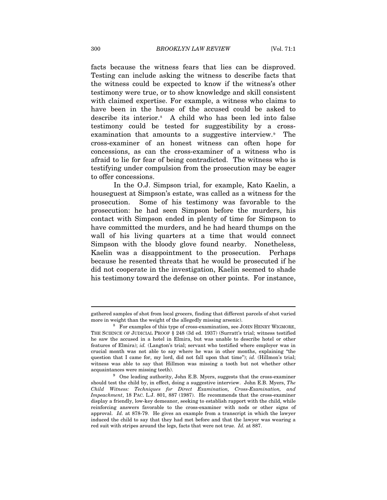facts because the witness fears that lies can be disproved. Testing can include asking the witness to describe facts that the witness could be expected to know if the witness's other testimony were true, or to show knowledge and skill consistent with claimed expertise. For example, a witness who claims to have been in the house of the accused could be asked to describe its interior.[8](#page-4-0) A child who has been led into false testimony could be tested for suggestibility by a crossexamination that amounts to a suggestive interview.<sup>9</sup> The cross-examiner of an honest witness can often hope for concessions, as can the cross-examiner of a witness who is afraid to lie for fear of being contradicted. The witness who is testifying under compulsion from the prosecution may be eager to offer concessions.

In the O.J. Simpson trial, for example, Kato Kaelin, a houseguest at Simpson's estate, was called as a witness for the prosecution. Some of his testimony was favorable to the prosecution: he had seen Simpson before the murders, his contact with Simpson ended in plenty of time for Simpson to have committed the murders, and he had heard thumps on the wall of his living quarters at a time that would connect Simpson with the bloody glove found nearby. Nonetheless, Kaelin was a disappointment to the prosecution. Perhaps because he resented threats that he would be prosecuted if he did not cooperate in the investigation, Kaelin seemed to shade his testimony toward the defense on other points. For instance,

gathered samples of shot from local grocers, finding that different parcels of shot varied more in weight than the weight of the allegedly missing arsenic). 8 For examples of this type of cross-examination, see JOHN HENRY WIGMORE,

<span id="page-4-0"></span>THE SCIENCE OF JUDICIAL PROOF § 248 (3d ed. 1937) (Surratt's trial; witness testified he saw the accused in a hotel in Elmira, but was unable to describe hotel or other features of Elmira); *id.* (Langton's trial; servant who testified where employer was in crucial month was not able to say where he was in other months, explaining "the question that I came for, my lord, did not fall upon that time"); *id.* (Hillmon's trial; witness was able to say that Hillmon was missing a tooth but not whether other

<span id="page-4-1"></span>acquaintances were missing teeth).<br><sup>9</sup> One leading authority, John E.B. Myers, suggests that the cross-examiner should test the child by, in effect, doing a suggestive interview. John E.B. Myers, *The Child Witness: Techniques for Direct Examination, Cross-Examination, and Impeachment*, 18 PAC. L.J. 801, 887 (1987). He recommends that the cross-examiner display a friendly, low-key demeanor, seeking to establish rapport with the child, while reinforcing answers favorable to the cross-examiner with nods or other signs of approval. *Id.* at 878-79. He gives an example from a transcript in which the lawyer induced the child to say that they had met before and that the lawyer was wearing a red suit with stripes around the legs, facts that were not true. *Id.* at 887.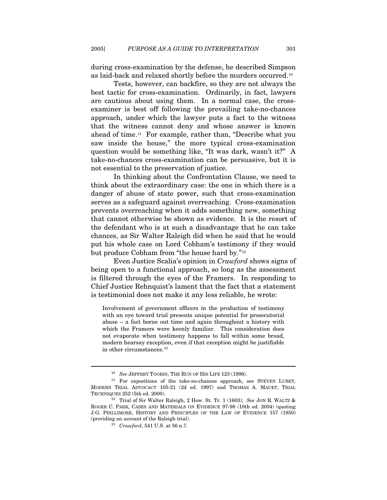during cross-examination by the defense, he described Simpson as laid-back and relaxed shortly before the murders occurred.[1](#page-5-0)0

Tests, however, can backfire, so they are not always the best tactic for cross-examination. Ordinarily, in fact, lawyers are cautious about using them. In a normal case, the crossexaminer is best off following the prevailing take-no-chances approach, under which the lawyer puts a fact to the witness that the witness cannot deny and whose answer is known ahead of time.[11](#page-5-1) For example, rather than, "Describe what you saw inside the house," the more typical cross-examination question would be something like, "It was dark, wasn't it?" A take-no-chances cross-examination can be persuasive, but it is not essential to the preservation of justice.

In thinking about the Confrontation Clause, we need to think about the extraordinary case: the one in which there is a danger of abuse of state power, such that cross-examination serves as a safeguard against overreaching. Cross-examination prevents overreaching when it adds something new, something that cannot otherwise be shown as evidence. It is the resort of the defendant who is at such a disadvantage that he can take chances, as Sir Walter Raleigh did when he said that he would put his whole case on Lord Cobham's testimony if they would but produce Cobham from "the house hard by."[12](#page-5-2)

Even Justice Scalia's opinion in *Crawford* shows signs of being open to a functional approach, so long as the assessment is filtered through the eyes of the Framers. In responding to Chief Justice Rehnquist's lament that the fact that a statement is testimonial does not make it any less reliable, he wrote:

Involvement of government officers in the production of testimony with an eye toward trial presents unique potential for prosecutorial abuse – a fact borne out time and again throughout a history with which the Framers were keenly familiar. This consideration does not evaporate when testimony happens to fall within some broad, modern hearsay exception, even if that exception might be justifiable in other circumstances.<sup>[13](#page-5-3)</sup>

<span id="page-5-1"></span><span id="page-5-0"></span><sup>&</sup>lt;sup>10</sup> See JEFFREY TOOBIN, THE RUN OF HIS LIFE 123 (1996).<br><sup>11</sup> For expositions of the take-no-chances approach, see STEVEN LUBET, MODERN TRIAL ADVOCACY 105-21 (2d ed. 1997) and THOMAS A. MAUET, TRIAL TECHNIQUES 252 (5th ed. 2000). 12 Trial of Sir Walter Raleigh, 2 How. St. Tr. 1 (1603); *See* JON R. WALTZ &

<span id="page-5-3"></span><span id="page-5-2"></span>ROGER C. PARK, CASES AND MATERIALS ON EVIDENCE 97-98 (10th ed. 2004) (quoting J.G. PHILLIMORE, HISTORY AND PRINCIPLES OF THE LAW OF EVIDENCE 157 (1850) (providing an account of the Raleigh trial). 13 *Crawford*, 541 U.S. at 56 n.7.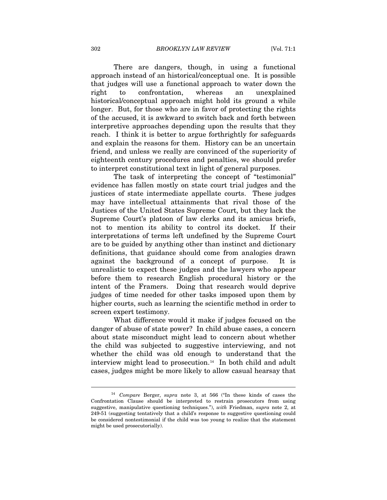There are dangers, though, in using a functional approach instead of an historical/conceptual one. It is possible that judges will use a functional approach to water down the right to confrontation, whereas an unexplained historical/conceptual approach might hold its ground a while longer. But, for those who are in favor of protecting the rights of the accused, it is awkward to switch back and forth between interpretive approaches depending upon the results that they reach. I think it is better to argue forthrightly for safeguards and explain the reasons for them. History can be an uncertain friend, and unless we really are convinced of the superiority of eighteenth century procedures and penalties, we should prefer to interpret constitutional text in light of general purposes.

The task of interpreting the concept of "testimonial" evidence has fallen mostly on state court trial judges and the justices of state intermediate appellate courts. These judges may have intellectual attainments that rival those of the Justices of the United States Supreme Court, but they lack the Supreme Court's platoon of law clerks and its amicus briefs, not to mention its ability to control its docket. If their interpretations of terms left undefined by the Supreme Court are to be guided by anything other than instinct and dictionary definitions, that guidance should come from analogies drawn against the background of a concept of purpose. It is unrealistic to expect these judges and the lawyers who appear before them to research English procedural history or the intent of the Framers. Doing that research would deprive judges of time needed for other tasks imposed upon them by higher courts, such as learning the scientific method in order to screen expert testimony.

What difference would it make if judges focused on the danger of abuse of state power? In child abuse cases, a concern about state misconduct might lead to concern about whether the child was subjected to suggestive interviewing, and not whether the child was old enough to understand that the interview might lead to prosecution.<sup>[14](#page-6-0)</sup> In both child and adult cases, judges might be more likely to allow casual hearsay that

<span id="page-6-0"></span><sup>14</sup> *Compare* Berger, *supra* note 3, at 566 ("In these kinds of cases the Confrontation Clause should be interpreted to restrain prosecutors from using suggestive, manipulative questioning techniques."), *with* Friedman, *supra* note 2, at 249-51 (suggesting tentatively that a child's response to suggestive questioning could be considered nontestimonial if the child was too young to realize that the statement might be used prosecutorially).